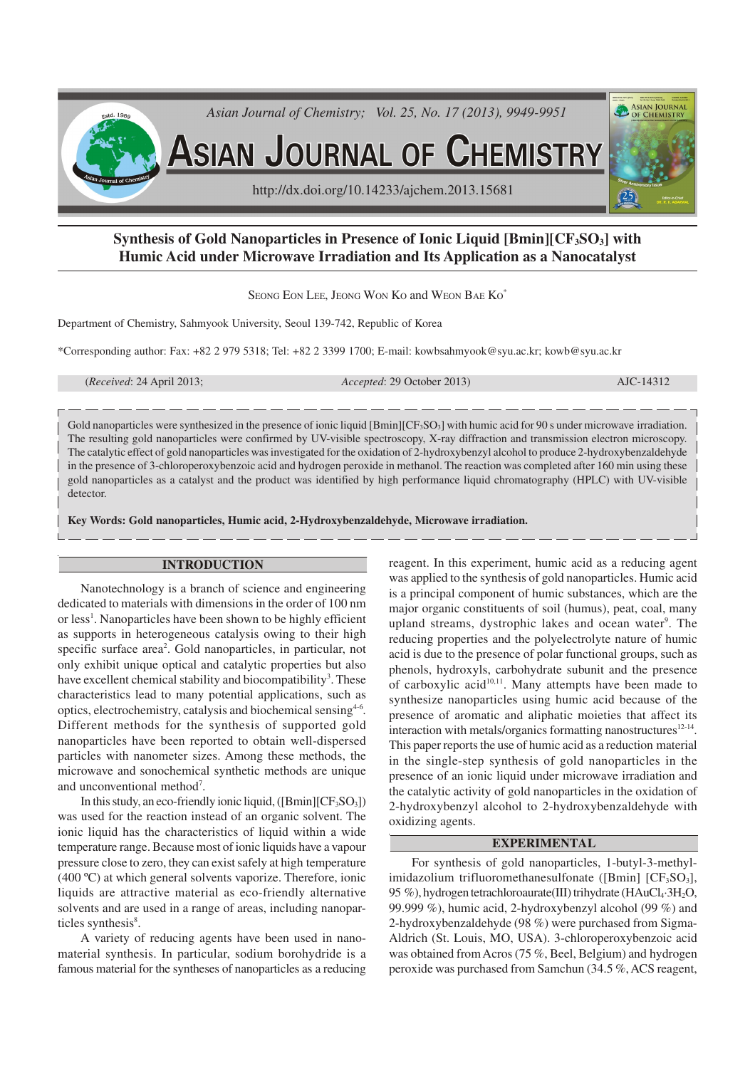

# **Synthesis of Gold Nanoparticles in Presence of Ionic Liquid [Bmin][CF3SO3] with Humic Acid under Microwave Irradiation and Its Application as a Nanocatalyst**

SEONG EON LEE, JEONG WON KO and WEON BAE KO<sup>\*</sup>

Department of Chemistry, Sahmyook University, Seoul 139-742, Republic of Korea

\*Corresponding author: Fax: +82 2 979 5318; Tel: +82 2 3399 1700; E-mail: kowbsahmyook@syu.ac.kr; kowb@syu.ac.kr

(*Received*: 24 April 2013; *Accepted*: 29 October 2013) AJC-14312

Gold nanoparticles were synthesized in the presence of ionic liquid [Bmin][CF<sub>3</sub>SO<sub>3</sub>] with humic acid for 90 s under microwave irradiation. The resulting gold nanoparticles were confirmed by UV-visible spectroscopy, X-ray diffraction and transmission electron microscopy. The catalytic effect of gold nanoparticles was investigated for the oxidation of 2-hydroxybenzyl alcohol to produce 2-hydroxybenzaldehyde in the presence of 3-chloroperoxybenzoic acid and hydrogen peroxide in methanol. The reaction was completed after 160 min using these gold nanoparticles as a catalyst and the product was identified by high performance liquid chromatography (HPLC) with UV-visible detector.

**Key Words: Gold nanoparticles, Humic acid, 2-Hydroxybenzaldehyde, Microwave irradiation.**

## **INTRODUCTION**

Nanotechnology is a branch of science and engineering dedicated to materials with dimensions in the order of 100 nm or less<sup>1</sup>. Nanoparticles have been shown to be highly efficient as supports in heterogeneous catalysis owing to their high specific surface area<sup>2</sup>. Gold nanoparticles, in particular, not only exhibit unique optical and catalytic properties but also have excellent chemical stability and biocompatibility<sup>3</sup>. These characteristics lead to many potential applications, such as optics, electrochemistry, catalysis and biochemical sensing<sup>4-6</sup>. Different methods for the synthesis of supported gold nanoparticles have been reported to obtain well-dispersed particles with nanometer sizes. Among these methods, the microwave and sonochemical synthetic methods are unique and unconventional method<sup>7</sup>.

In this study, an eco-friendly ionic liquid,  $([Bmin][CF<sub>3</sub>SO<sub>3</sub>])$ was used for the reaction instead of an organic solvent. The ionic liquid has the characteristics of liquid within a wide temperature range. Because most of ionic liquids have a vapour pressure close to zero, they can exist safely at high temperature (400 ºC) at which general solvents vaporize. Therefore, ionic liquids are attractive material as eco-friendly alternative solvents and are used in a range of areas, including nanoparticles synthesis<sup>8</sup>.

A variety of reducing agents have been used in nanomaterial synthesis. In particular, sodium borohydride is a famous material for the syntheses of nanoparticles as a reducing reagent. In this experiment, humic acid as a reducing agent was applied to the synthesis of gold nanoparticles. Humic acid is a principal component of humic substances, which are the major organic constituents of soil (humus), peat, coal, many upland streams, dystrophic lakes and ocean water<sup>9</sup>. The reducing properties and the polyelectrolyte nature of humic acid is due to the presence of polar functional groups, such as phenols, hydroxyls, carbohydrate subunit and the presence of carboxylic acid<sup>10,11</sup>. Many attempts have been made to synthesize nanoparticles using humic acid because of the presence of aromatic and aliphatic moieties that affect its interaction with metals/organics formatting nanostructures $12-14$ . This paper reports the use of humic acid as a reduction material in the single-step synthesis of gold nanoparticles in the presence of an ionic liquid under microwave irradiation and the catalytic activity of gold nanoparticles in the oxidation of 2-hydroxybenzyl alcohol to 2-hydroxybenzaldehyde with oxidizing agents.

## **EXPERIMENTAL**

For synthesis of gold nanoparticles, 1-butyl-3-methylimidazolium trifluoromethanesulfonate ([Bmin]  $[CF<sub>3</sub>SO<sub>3</sub>]$ , 95 %), hydrogen tetrachloroaurate(III) trihydrate (HAuCl<sub>4</sub>·3H<sub>2</sub>O, 99.999 %), humic acid, 2-hydroxybenzyl alcohol (99 %) and 2-hydroxybenzaldehyde (98 %) were purchased from Sigma-Aldrich (St. Louis, MO, USA). 3-chloroperoxybenzoic acid was obtained from Acros (75 %, Beel, Belgium) and hydrogen peroxide was purchased from Samchun (34.5 %, ACS reagent,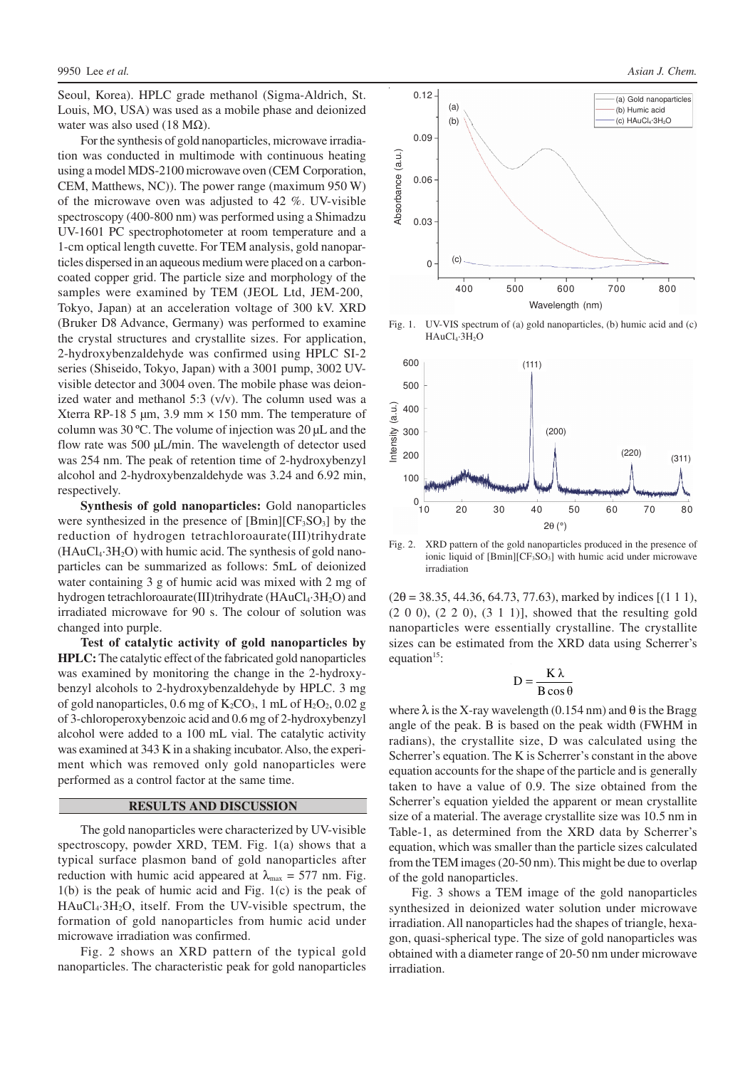Seoul, Korea). HPLC grade methanol (Sigma-Aldrich, St. Louis, MO, USA) was used as a mobile phase and deionized water was also used (18 M $\Omega$ ).

For the synthesis of gold nanoparticles, microwave irradiation was conducted in multimode with continuous heating using a model MDS-2100 microwave oven (CEM Corporation, CEM, Matthews, NC)). The power range (maximum 950 W) of the microwave oven was adjusted to 42 %. UV-visible spectroscopy (400-800 nm) was performed using a Shimadzu UV-1601 PC spectrophotometer at room temperature and a 1-cm optical length cuvette. For TEM analysis, gold nanoparticles dispersed in an aqueous medium were placed on a carboncoated copper grid. The particle size and morphology of the samples were examined by TEM (JEOL Ltd, JEM-200, Tokyo, Japan) at an acceleration voltage of 300 kV. XRD (Bruker D8 Advance, Germany) was performed to examine the crystal structures and crystallite sizes. For application, 2-hydroxybenzaldehyde was confirmed using HPLC SI-2 series (Shiseido, Tokyo, Japan) with a 3001 pump, 3002 UVvisible detector and 3004 oven. The mobile phase was deionized water and methanol 5:3 (v/v). The column used was a Xterra RP-18 5  $\mu$ m, 3.9 mm  $\times$  150 mm. The temperature of column was 30 ºC. The volume of injection was 20 µL and the flow rate was 500 µL/min. The wavelength of detector used was 254 nm. The peak of retention time of 2-hydroxybenzyl alcohol and 2-hydroxybenzaldehyde was 3.24 and 6.92 min, respectively.

**Synthesis of gold nanoparticles:** Gold nanoparticles were synthesized in the presence of  $[Bmin][CF_3SO_3]$  by the reduction of hydrogen tetrachloroaurate(III)trihydrate  $(HAuCl<sub>4</sub>·3H<sub>2</sub>O)$  with humic acid. The synthesis of gold nanoparticles can be summarized as follows: 5mL of deionized water containing 3 g of humic acid was mixed with 2 mg of hydrogen tetrachloroaurate (III)trihydrate ( $HAuCl<sub>4</sub>·3H<sub>2</sub>O$ ) and irradiated microwave for 90 s. The colour of solution was changed into purple.

**Test of catalytic activity of gold nanoparticles by HPLC:** The catalytic effect of the fabricated gold nanoparticles was examined by monitoring the change in the 2-hydroxybenzyl alcohols to 2-hydroxybenzaldehyde by HPLC. 3 mg of gold nanoparticles,  $0.6$  mg of  $K_2CO_3$ , 1 mL of  $H_2O_2$ ,  $0.02$  g of 3-chloroperoxybenzoic acid and 0.6 mg of 2-hydroxybenzyl alcohol were added to a 100 mL vial. The catalytic activity was examined at 343 K in a shaking incubator. Also, the experiment which was removed only gold nanoparticles were performed as a control factor at the same time.

### **RESULTS AND DISCUSSION**

The gold nanoparticles were characterized by UV-visible spectroscopy, powder XRD, TEM. Fig. 1(a) shows that a typical surface plasmon band of gold nanoparticles after reduction with humic acid appeared at  $\lambda_{\text{max}} = 577$  nm. Fig. 1(b) is the peak of humic acid and Fig. 1(c) is the peak of  $HAuCl<sub>4</sub>·3H<sub>2</sub>O$ , itself. From the UV-visible spectrum, the formation of gold nanoparticles from humic acid under microwave irradiation was confirmed.

Fig. 2 shows an XRD pattern of the typical gold nanoparticles. The characteristic peak for gold nanoparticles



Fig. 1. UV-VIS spectrum of (a) gold nanoparticles, (b) humic acid and (c) HAuCl<sub>4</sub>·3H<sub>2</sub>O



Fig. 2. XRD pattern of the gold nanoparticles produced in the presence of ionic liquid of  $[Bmin][CF_3SO_3]$  with humic acid under microwave irradiation

 $(2\theta = 38.35, 44.36, 64.73, 77.63)$ , marked by indices [(1 1 1), (2 0 0), (2 2 0), (3 1 1)], showed that the resulting gold nanoparticles were essentially crystalline. The crystallite sizes can be estimated from the XRD data using Scherrer's equation<sup>15</sup>:

$$
D = \frac{K\lambda}{B\cos\theta}
$$

where  $\lambda$  is the X-ray wavelength (0.154 nm) and  $\theta$  is the Bragg angle of the peak. B is based on the peak width (FWHM in radians), the crystallite size, D was calculated using the Scherrer's equation. The K is Scherrer's constant in the above equation accounts for the shape of the particle and is generally taken to have a value of 0.9. The size obtained from the Scherrer's equation yielded the apparent or mean crystallite size of a material. The average crystallite size was 10.5 nm in Table-1, as determined from the XRD data by Scherrer's equation, which was smaller than the particle sizes calculated from the TEM images (20-50 nm). This might be due to overlap of the gold nanoparticles.

Fig. 3 shows a TEM image of the gold nanoparticles synthesized in deionized water solution under microwave irradiation. All nanoparticles had the shapes of triangle, hexagon, quasi-spherical type. The size of gold nanoparticles was obtained with a diameter range of 20-50 nm under microwave irradiation.